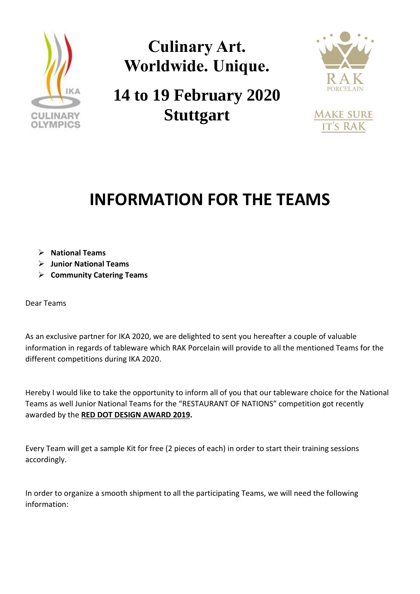

**Culinary Art. Worldwide. Unique.**

**14 to 19 February 2020 Stuttgart**



**MAKE SURE IT'S RAK** 

## **INFORMATION FOR THE TEAMS**

- ➢ **National Teams**
- ➢ **Junior National Teams**
- ➢ **Community Catering Teams**

Dear Teams

As an exclusive partner for IKA 2020, we are delighted to sent you hereafter a couple of valuable information in regards of tableware which RAK Porcelain will provide to all the mentioned Teams for the different competitions during IKA 2020.

Hereby I would like to take the opportunity to inform all of you that our tableware choice for the National Teams as well Junior National Teams for the "RESTAURANT OF NATIONS" competition got recently awarded by the **RED DOT DESIGN AWARD 2019.**

Every Team will get a sample Kit for free (2 pieces of each) in order to start their training sessions accordingly.

In order to organize a smooth shipment to all the participating Teams, we will need the following information: